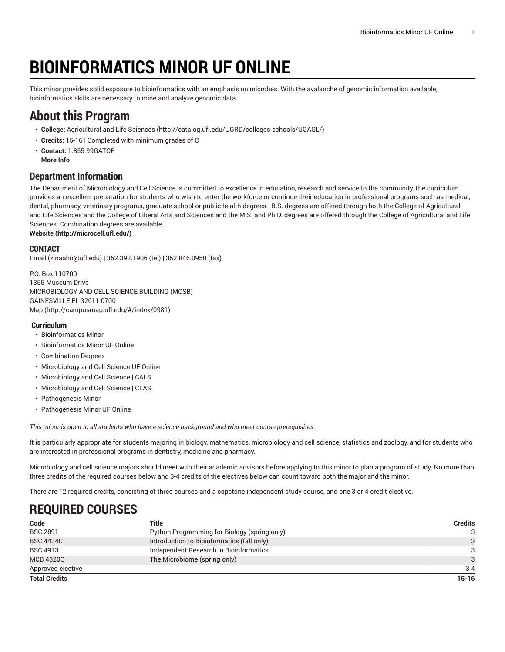# **BIOINFORMATICS MINOR UF ONLINE**

This minor provides solid exposure to bioinformatics with an emphasis on microbes. With the avalanche of genomic information available, bioinformatics skills are necessary to mine and analyze genomic data.

### **About this Program**

- **College:** [Agricultural](http://catalog.ufl.edu/UGRD/colleges-schools/UGAGL/) and Life Sciences ([http://catalog.ufl.edu/UGRD/colleges-schools/UGAGL/\)](http://catalog.ufl.edu/UGRD/colleges-schools/UGAGL/)
- **Credits:** 15-16 | Completed with minimum grades of C
- **Contact:** 1.855.99GATOR **More Info**

### **Department Information**

The Department of Microbiology and Cell Science is committed to excellence in education, research and service to the community.The curriculum provides an excellent preparation for students who wish to enter the workforce or continue their education in professional programs such as medical, dental, pharmacy, veterinary programs, graduate school or public health degrees. B.S. degrees are offered through both the College of Agricultural and Life Sciences and the College of Liberal Arts and Sciences and the M.S. and Ph.D. degrees are offered through the College of Agricultural and Life Sciences. Combination degrees are available.

**[Website](http://microcell.ufl.edu/) ([http://microcell.ufl.edu/\)](http://microcell.ufl.edu/)**

#### **CONTACT**

[Email](mailto:zinaahn@ufl.edu) (<zinaahn@ufl.edu>) | 352.392.1906 (tel) | 352.846.0950 (fax)

P.O. Box 110700 1355 Museum Drive MICROBIOLOGY AND CELL SCIENCE BUILDING (MCSB) GAINESVILLE FL 32611-0700 [Map](http://campusmap.ufl.edu/#/index/0981) ([http://campusmap.ufl.edu/#/index/0981\)](http://campusmap.ufl.edu/#/index/0981)

#### **Curriculum**

- Bioinformatics Minor
- Bioinformatics Minor UF Online
- Combination Degrees
- Microbiology and Cell Science UF Online
- Microbiology and Cell Science | CALS
- Microbiology and Cell Science | CLAS
- Pathogenesis Minor
- Pathogenesis Minor UF Online

*This minor is open to all students who have a science background and who meet course prerequisites.*

It is particularly appropriate for students majoring in biology, mathematics, microbiology and cell science, statistics and zoology, and for students who are interested in professional programs in dentistry, medicine and pharmacy.

Microbiology and cell science majors should meet with their academic advisors before applying to this minor to plan a program of study. No more than three credits of the required courses below and 3-4 credits of the electives below can count toward both the major and the minor.

There are 12 required credits, consisting of three courses and a capstone independent study course, and one 3 or 4 credit elective.

### **REQUIRED COURSES**

| Code                 | Title                                        | Credits       |
|----------------------|----------------------------------------------|---------------|
| <b>BSC 2891</b>      | Python Programming for Biology (spring only) | 3             |
| <b>BSC 4434C</b>     | Introduction to Bioinformatics (fall only)   |               |
| <b>BSC 4913</b>      | Independent Research in Bioinformatics       | 3             |
| <b>MCB 4320C</b>     | The Microbiome (spring only)                 | $\mathcal{A}$ |
| Approved elective    |                                              | $3 - 4$       |
| <b>Total Credits</b> |                                              | $15-16$       |